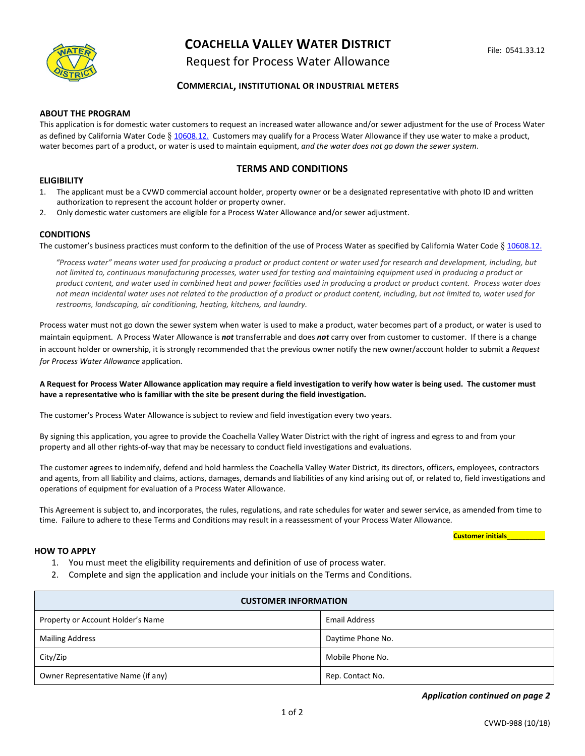

# **COACHELLA VALLEY WATER DISTRICT**

## Request for Process Water Allowance

## **COMMERCIAL, INSTITUTIONAL OR INDUSTRIAL METERS**

#### **ABOUT THE PROGRAM**

This application is for domestic water customers to request an increased water allowance and/or sewer adjustment for the use of Process Water as defined by California Water Code § [10608.12.](https://leginfo.legislature.ca.gov/faces/codes_displayText.xhtml?lawCode=WAT&division=6.&title=&part=2.55.&chapter=2.&article=) Customers may qualify for a Process Water Allowance if they use water to make a product, water becomes part of a product, or water is used to maintain equipment, *and the water does not go down the sewer system*.

## **TERMS AND CONDITIONS**

### **ELIGIBILITY**

- 1. The applicant must be a CVWD commercial account holder, property owner or be a designated representative with photo ID and written authorization to represent the account holder or property owner.
- 2. Only domestic water customers are eligible for a Process Water Allowance and/or sewer adjustment.

### **CONDITIONS**

The customer's business practices must conform to the definition of the use of Process Water as specified by California Water Code § [10608.12.](https://leginfo.legislature.ca.gov/faces/codes_displayText.xhtml?lawCode=WAT&division=6.&title=&part=2.55.&chapter=2.&article=)

"Process water" means water used for producing a product or product content or water used for research and development, including, but not limited to, continuous manufacturing processes, water used for testing and maintaining equipment used in producing a product or product content, and water used in combined heat and power facilities used in producing a product or product content. Process water does not mean incidental water uses not related to the production of a product or product content, including, but not limited to, water used for *restrooms, landscaping, air conditioning, heating, kitchens, and laundry.*

Process water must not go down the sewer system when water is used to make a product, water becomes part of a product, or water is used to maintain equipment. A Process Water Allowance is *not* transferrable and does *not* carry over from customer to customer. If there is a change in account holder or ownership, it is strongly recommended that the previous owner notify the new owner/account holder to submit a *Request for Process Water Allowance* application.

#### **A Request for Process Water Allowance application may require a field investigation to verify how water is being used. The customer must have a representative who is familiar with the site be present during the field investigation.**

The customer's Process Water Allowance is subject to review and field investigation every two years.

By signing this application, you agree to provide the Coachella Valley Water District with the right of ingress and egress to and from your property and all other rights-of-way that may be necessary to conduct field investigations and evaluations.

The customer agrees to indemnify, defend and hold harmless the Coachella Valley Water District, its directors, officers, employees, contractors and agents, from all liability and claims, actions, damages, demands and liabilities of any kind arising out of, or related to, field investigations and operations of equipment for evaluation of a Process Water Allowance.

This Agreement is subject to, and incorporates, the rules, regulations, and rate schedules for water and sewer service, as amended from time to time. Failure to adhere to these Terms and Conditions may result in a reassessment of your Process Water Allowance.

#### **Customer initials\_\_\_\_\_\_\_\_\_\_**

#### **HOW TO APPLY**

- 1. You must meet the eligibility requirements and definition of use of process water.
- 2. Complete and sign the application and include your initials on the Terms and Conditions.

| <b>CUSTOMER INFORMATION</b>        |                      |
|------------------------------------|----------------------|
| Property or Account Holder's Name  | <b>Email Address</b> |
| <b>Mailing Address</b>             | Daytime Phone No.    |
| City/Zip                           | Mobile Phone No.     |
| Owner Representative Name (if any) | Rep. Contact No.     |

*Application continued on page 2*